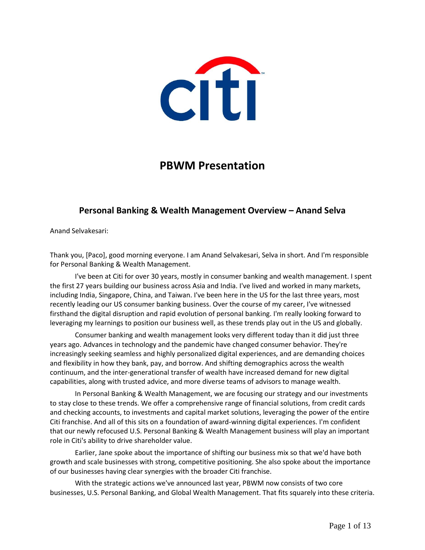

# **PBWM Presentation**

# **Personal Banking & Wealth Management Overview – Anand Selva**

Anand Selvakesari:

Thank you, [Paco], good morning everyone. I am Anand Selvakesari, Selva in short. And I'm responsible for Personal Banking & Wealth Management.

I've been at Citi for over 30 years, mostly in consumer banking and wealth management. I spent the first 27 years building our business across Asia and India. I've lived and worked in many markets, including India, Singapore, China, and Taiwan. I've been here in the US for the last three years, most recently leading our US consumer banking business. Over the course of my career, I've witnessed firsthand the digital disruption and rapid evolution of personal banking. I'm really looking forward to leveraging my learnings to position our business well, as these trends play out in the US and globally.

Consumer banking and wealth management looks very different today than it did just three years ago. Advances in technology and the pandemic have changed consumer behavior. They're increasingly seeking seamless and highly personalized digital experiences, and are demanding choices and flexibility in how they bank, pay, and borrow. And shifting demographics across the wealth continuum, and the inter-generational transfer of wealth have increased demand for new digital capabilities, along with trusted advice, and more diverse teams of advisors to manage wealth.

In Personal Banking & Wealth Management, we are focusing our strategy and our investments to stay close to these trends. We offer a comprehensive range of financial solutions, from credit cards and checking accounts, to investments and capital market solutions, leveraging the power of the entire Citi franchise. And all of this sits on a foundation of award-winning digital experiences. I'm confident that our newly refocused U.S. Personal Banking & Wealth Management business will play an important role in Citi's ability to drive shareholder value.

Earlier, Jane spoke about the importance of shifting our business mix so that we'd have both growth and scale businesses with strong, competitive positioning. She also spoke about the importance of our businesses having clear synergies with the broader Citi franchise.

With the strategic actions we've announced last year, PBWM now consists of two core businesses, U.S. Personal Banking, and Global Wealth Management. That fits squarely into these criteria.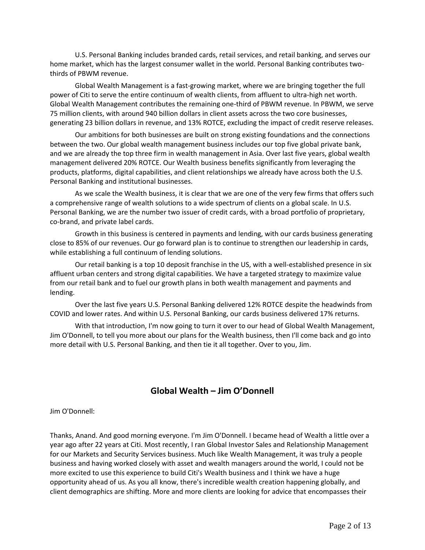U.S. Personal Banking includes branded cards, retail services, and retail banking, and serves our home market, which has the largest consumer wallet in the world. Personal Banking contributes twothirds of PBWM revenue.

Global Wealth Management is a fast-growing market, where we are bringing together the full power of Citi to serve the entire continuum of wealth clients, from affluent to ultra-high net worth. Global Wealth Management contributes the remaining one-third of PBWM revenue. In PBWM, we serve 75 million clients, with around 940 billion dollars in client assets across the two core businesses, generating 23 billion dollars in revenue, and 13% ROTCE, excluding the impact of credit reserve releases.

Our ambitions for both businesses are built on strong existing foundations and the connections between the two. Our global wealth management business includes our top five global private bank, and we are already the top three firm in wealth management in Asia. Over last five years, global wealth management delivered 20% ROTCE. Our Wealth business benefits significantly from leveraging the products, platforms, digital capabilities, and client relationships we already have across both the U.S. Personal Banking and institutional businesses.

As we scale the Wealth business, it is clear that we are one of the very few firms that offers such a comprehensive range of wealth solutions to a wide spectrum of clients on a global scale. In U.S. Personal Banking, we are the number two issuer of credit cards, with a broad portfolio of proprietary, co-brand, and private label cards.

Growth in this business is centered in payments and lending, with our cards business generating close to 85% of our revenues. Our go forward plan is to continue to strengthen our leadership in cards, while establishing a full continuum of lending solutions.

Our retail banking is a top 10 deposit franchise in the US, with a well-established presence in six affluent urban centers and strong digital capabilities. We have a targeted strategy to maximize value from our retail bank and to fuel our growth plans in both wealth management and payments and lending.

Over the last five years U.S. Personal Banking delivered 12% ROTCE despite the headwinds from COVID and lower rates. And within U.S. Personal Banking, our cards business delivered 17% returns.

With that introduction, I'm now going to turn it over to our head of Global Wealth Management, Jim O'Donnell, to tell you more about our plans for the Wealth business, then I'll come back and go into more detail with U.S. Personal Banking, and then tie it all together. Over to you, Jim.

## **Global Wealth – Jim O'Donnell**

Jim O'Donnell:

Thanks, Anand. And good morning everyone. I'm Jim O'Donnell. I became head of Wealth a little over a year ago after 22 years at Citi. Most recently, I ran Global Investor Sales and Relationship Management for our Markets and Security Services business. Much like Wealth Management, it was truly a people business and having worked closely with asset and wealth managers around the world, I could not be more excited to use this experience to build Citi's Wealth business and I think we have a huge opportunity ahead of us. As you all know, there's incredible wealth creation happening globally, and client demographics are shifting. More and more clients are looking for advice that encompasses their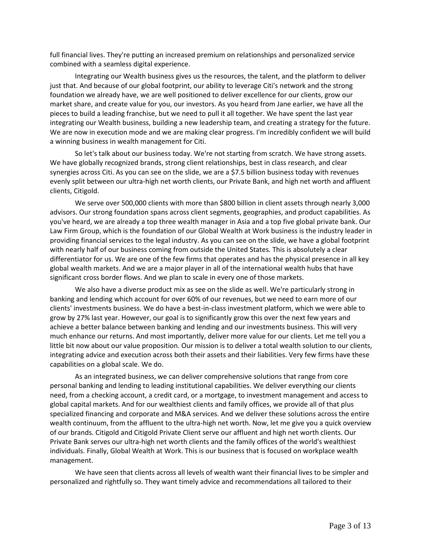full financial lives. They're putting an increased premium on relationships and personalized service combined with a seamless digital experience.

Integrating our Wealth business gives us the resources, the talent, and the platform to deliver just that. And because of our global footprint, our ability to leverage Citi's network and the strong foundation we already have, we are well positioned to deliver excellence for our clients, grow our market share, and create value for you, our investors. As you heard from Jane earlier, we have all the pieces to build a leading franchise, but we need to pull it all together. We have spent the last year integrating our Wealth business, building a new leadership team, and creating a strategy for the future. We are now in execution mode and we are making clear progress. I'm incredibly confident we will build a winning business in wealth management for Citi.

So let's talk about our business today. We're not starting from scratch. We have strong assets. We have globally recognized brands, strong client relationships, best in class research, and clear synergies across Citi. As you can see on the slide, we are a \$7.5 billion business today with revenues evenly split between our ultra-high net worth clients, our Private Bank, and high net worth and affluent clients, Citigold.

We serve over 500,000 clients with more than \$800 billion in client assets through nearly 3,000 advisors. Our strong foundation spans across client segments, geographies, and product capabilities. As you've heard, we are already a top three wealth manager in Asia and a top five global private bank. Our Law Firm Group, which is the foundation of our Global Wealth at Work business is the industry leader in providing financial services to the legal industry. As you can see on the slide, we have a global footprint with nearly half of our business coming from outside the United States. This is absolutely a clear differentiator for us. We are one of the few firms that operates and has the physical presence in all key global wealth markets. And we are a major player in all of the international wealth hubs that have significant cross border flows. And we plan to scale in every one of those markets.

We also have a diverse product mix as see on the slide as well. We're particularly strong in banking and lending which account for over 60% of our revenues, but we need to earn more of our clients' investments business. We do have a best-in-class investment platform, which we were able to grow by 27% last year. However, our goal is to significantly grow this over the next few years and achieve a better balance between banking and lending and our investments business. This will very much enhance our returns. And most importantly, deliver more value for our clients. Let me tell you a little bit now about our value proposition. Our mission is to deliver a total wealth solution to our clients, integrating advice and execution across both their assets and their liabilities. Very few firms have these capabilities on a global scale. We do.

As an integrated business, we can deliver comprehensive solutions that range from core personal banking and lending to leading institutional capabilities. We deliver everything our clients need, from a checking account, a credit card, or a mortgage, to investment management and access to global capital markets. And for our wealthiest clients and family offices, we provide all of that plus specialized financing and corporate and M&A services. And we deliver these solutions across the entire wealth continuum, from the affluent to the ultra-high net worth. Now, let me give you a quick overview of our brands. Citigold and Citigold Private Client serve our affluent and high net worth clients. Our Private Bank serves our ultra-high net worth clients and the family offices of the world's wealthiest individuals. Finally, Global Wealth at Work. This is our business that is focused on workplace wealth management.

We have seen that clients across all levels of wealth want their financial lives to be simpler and personalized and rightfully so. They want timely advice and recommendations all tailored to their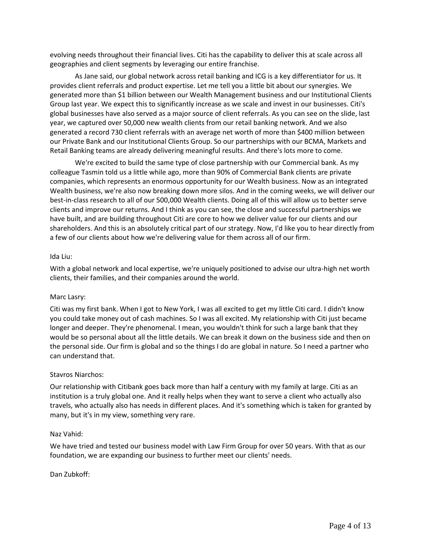evolving needs throughout their financial lives. Citi has the capability to deliver this at scale across all geographies and client segments by leveraging our entire franchise.

As Jane said, our global network across retail banking and ICG is a key differentiator for us. It provides client referrals and product expertise. Let me tell you a little bit about our synergies. We generated more than \$1 billion between our Wealth Management business and our Institutional Clients Group last year. We expect this to significantly increase as we scale and invest in our businesses. Citi's global businesses have also served as a major source of client referrals. As you can see on the slide, last year, we captured over 50,000 new wealth clients from our retail banking network. And we also generated a record 730 client referrals with an average net worth of more than \$400 million between our Private Bank and our Institutional Clients Group. So our partnerships with our BCMA, Markets and Retail Banking teams are already delivering meaningful results. And there's lots more to come.

We're excited to build the same type of close partnership with our Commercial bank. As my colleague Tasmin told us a little while ago, more than 90% of Commercial Bank clients are private companies, which represents an enormous opportunity for our Wealth business. Now as an integrated Wealth business, we're also now breaking down more silos. And in the coming weeks, we will deliver our best-in-class research to all of our 500,000 Wealth clients. Doing all of this will allow us to better serve clients and improve our returns. And I think as you can see, the close and successful partnerships we have built, and are building throughout Citi are core to how we deliver value for our clients and our shareholders. And this is an absolutely critical part of our strategy. Now, I'd like you to hear directly from a few of our clients about how we're delivering value for them across all of our firm.

### Ida Liu:

With a global network and local expertise, we're uniquely positioned to advise our ultra-high net worth clients, their families, and their companies around the world.

#### Marc Lasry:

Citi was my first bank. When I got to New York, I was all excited to get my little Citi card. I didn't know you could take money out of cash machines. So I was all excited. My relationship with Citi just became longer and deeper. They're phenomenal. I mean, you wouldn't think for such a large bank that they would be so personal about all the little details. We can break it down on the business side and then on the personal side. Our firm is global and so the things I do are global in nature. So I need a partner who can understand that.

### Stavros Niarchos:

Our relationship with Citibank goes back more than half a century with my family at large. Citi as an institution is a truly global one. And it really helps when they want to serve a client who actually also travels, who actually also has needs in different places. And it's something which is taken for granted by many, but it's in my view, something very rare.

#### Naz Vahid:

We have tried and tested our business model with Law Firm Group for over 50 years. With that as our foundation, we are expanding our business to further meet our clients' needs.

#### Dan Zubkoff: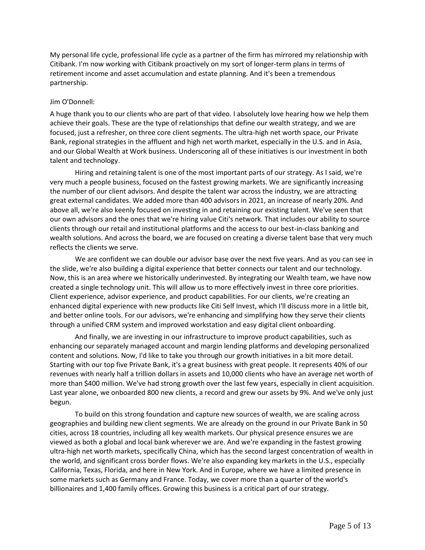My personal life cycle, professional life cycle as a partner of the firm has mirrored my relationship with Citibank. I'm now working with Citibank proactively on my sort of longer-term plans in terms of retirement income and asset accumulation and estate planning. And it's been a tremendous partnership.

### Jim O'Donnell:

A huge thank you to our clients who are part of that video. I absolutely love hearing how we help them achieve their goals. These are the type of relationships that define our wealth strategy, and we are focused, just a refresher, on three core client segments. The ultra-high net worth space, our Private Bank, regional strategies in the affluent and high net worth market, especially in the U.S. and in Asia, and our Global Wealth at Work business. Underscoring all of these initiatives is our investment in both talent and technology.

Hiring and retaining talent is one of the most important parts of our strategy. As I said, we're very much a people business, focused on the fastest growing markets. We are significantly increasing the number of our client advisors. And despite the talent war across the industry, we are attracting great external candidates. We added more than 400 advisors in 2021, an increase of nearly 20%. And above all, we're also keenly focused on investing in and retaining our existing talent. We've seen that our own advisors and the ones that we're hiring value Citi's network. That includes our ability to source clients through our retail and institutional platforms and the access to our best-in-class banking and wealth solutions. And across the board, we are focused on creating a diverse talent base that very much reflects the clients we serve.

We are confident we can double our advisor base over the next five years. And as you can see in the slide, we're also building a digital experience that better connects our talent and our technology. Now, this is an area where we historically underinvested. By integrating our Wealth team, we have now created a single technology unit. This will allow us to more effectively invest in three core priorities. Client experience, advisor experience, and product capabilities. For our clients, we're creating an enhanced digital experience with new products like Citi Self Invest, which I'll discuss more in a little bit, and better online tools. For our advisors, we're enhancing and simplifying how they serve their clients through a unified CRM system and improved workstation and easy digital client onboarding.

And finally, we are investing in our infrastructure to improve product capabilities, such as enhancing our separately managed account and margin lending platforms and developing personalized content and solutions. Now, I'd like to take you through our growth initiatives in a bit more detail. Starting with our top five Private Bank, it's a great business with great people. It represents 40% of our revenues with nearly half a trillion dollars in assets and 10,000 clients who have an average net worth of more than \$400 million. We've had strong growth over the last few years, especially in client acquisition. Last year alone, we onboarded 800 new clients, a record and grew our assets by 9%. And we've only just begun.

To build on this strong foundation and capture new sources of wealth, we are scaling across geographies and building new client segments. We are already on the ground in our Private Bank in 50 cities, across 18 countries, including all key wealth markets. Our physical presence ensures we are viewed as both a global and local bank wherever we are. And we're expanding in the fastest growing ultra-high net worth markets, specifically China, which has the second largest concentration of wealth in the world, and significant cross border flows. We're also expanding key markets in the U.S., especially California, Texas, Florida, and here in New York. And in Europe, where we have a limited presence in some markets such as Germany and France. Today, we cover more than a quarter of the world's billionaires and 1,400 family offices. Growing this business is a critical part of our strategy.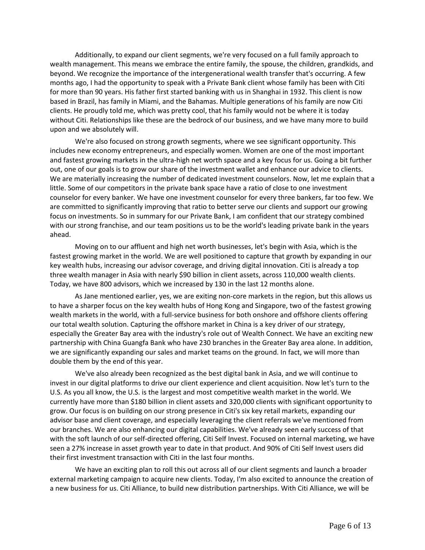Additionally, to expand our client segments, we're very focused on a full family approach to wealth management. This means we embrace the entire family, the spouse, the children, grandkids, and beyond. We recognize the importance of the intergenerational wealth transfer that's occurring. A few months ago, I had the opportunity to speak with a Private Bank client whose family has been with Citi for more than 90 years. His father first started banking with us in Shanghai in 1932. This client is now based in Brazil, has family in Miami, and the Bahamas. Multiple generations of his family are now Citi clients. He proudly told me, which was pretty cool, that his family would not be where it is today without Citi. Relationships like these are the bedrock of our business, and we have many more to build upon and we absolutely will.

We're also focused on strong growth segments, where we see significant opportunity. This includes new economy entrepreneurs, and especially women. Women are one of the most important and fastest growing markets in the ultra-high net worth space and a key focus for us. Going a bit further out, one of our goals is to grow our share of the investment wallet and enhance our advice to clients. We are materially increasing the number of dedicated investment counselors. Now, let me explain that a little. Some of our competitors in the private bank space have a ratio of close to one investment counselor for every banker. We have one investment counselor for every three bankers, far too few. We are committed to significantly improving that ratio to better serve our clients and support our growing focus on investments. So in summary for our Private Bank, I am confident that our strategy combined with our strong franchise, and our team positions us to be the world's leading private bank in the years ahead.

Moving on to our affluent and high net worth businesses, let's begin with Asia, which is the fastest growing market in the world. We are well positioned to capture that growth by expanding in our key wealth hubs, increasing our advisor coverage, and driving digital innovation. Citi is already a top three wealth manager in Asia with nearly \$90 billion in client assets, across 110,000 wealth clients. Today, we have 800 advisors, which we increased by 130 in the last 12 months alone.

As Jane mentioned earlier, yes, we are exiting non-core markets in the region, but this allows us to have a sharper focus on the key wealth hubs of Hong Kong and Singapore, two of the fastest growing wealth markets in the world, with a full-service business for both onshore and offshore clients offering our total wealth solution. Capturing the offshore market in China is a key driver of our strategy, especially the Greater Bay area with the industry's role out of Wealth Connect. We have an exciting new partnership with China Guangfa Bank who have 230 branches in the Greater Bay area alone. In addition, we are significantly expanding our sales and market teams on the ground. In fact, we will more than double them by the end of this year.

We've also already been recognized as the best digital bank in Asia, and we will continue to invest in our digital platforms to drive our client experience and client acquisition. Now let's turn to the U.S. As you all know, the U.S. is the largest and most competitive wealth market in the world. We currently have more than \$180 billion in client assets and 320,000 clients with significant opportunity to grow. Our focus is on building on our strong presence in Citi's six key retail markets, expanding our advisor base and client coverage, and especially leveraging the client referrals we've mentioned from our branches. We are also enhancing our digital capabilities. We've already seen early success of that with the soft launch of our self-directed offering, Citi Self Invest. Focused on internal marketing, we have seen a 27% increase in asset growth year to date in that product. And 90% of Citi Self Invest users did their first investment transaction with Citi in the last four months.

We have an exciting plan to roll this out across all of our client segments and launch a broader external marketing campaign to acquire new clients. Today, I'm also excited to announce the creation of a new business for us. Citi Alliance, to build new distribution partnerships. With Citi Alliance, we will be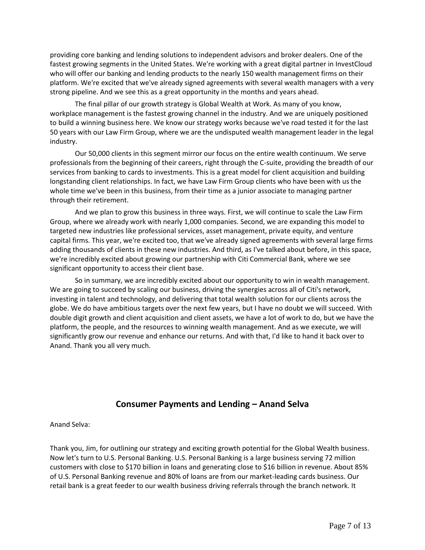providing core banking and lending solutions to independent advisors and broker dealers. One of the fastest growing segments in the United States. We're working with a great digital partner in InvestCloud who will offer our banking and lending products to the nearly 150 wealth management firms on their platform. We're excited that we've already signed agreements with several wealth managers with a very strong pipeline. And we see this as a great opportunity in the months and years ahead.

The final pillar of our growth strategy is Global Wealth at Work. As many of you know, workplace management is the fastest growing channel in the industry. And we are uniquely positioned to build a winning business here. We know our strategy works because we've road tested it for the last 50 years with our Law Firm Group, where we are the undisputed wealth management leader in the legal industry.

Our 50,000 clients in this segment mirror our focus on the entire wealth continuum. We serve professionals from the beginning of their careers, right through the C-suite, providing the breadth of our services from banking to cards to investments. This is a great model for client acquisition and building longstanding client relationships. In fact, we have Law Firm Group clients who have been with us the whole time we've been in this business, from their time as a junior associate to managing partner through their retirement.

And we plan to grow this business in three ways. First, we will continue to scale the Law Firm Group, where we already work with nearly 1,000 companies. Second, we are expanding this model to targeted new industries like professional services, asset management, private equity, and venture capital firms. This year, we're excited too, that we've already signed agreements with several large firms adding thousands of clients in these new industries. And third, as I've talked about before, in this space, we're incredibly excited about growing our partnership with Citi Commercial Bank, where we see significant opportunity to access their client base.

So in summary, we are incredibly excited about our opportunity to win in wealth management. We are going to succeed by scaling our business, driving the synergies across all of Citi's network, investing in talent and technology, and delivering that total wealth solution for our clients across the globe. We do have ambitious targets over the next few years, but I have no doubt we will succeed. With double digit growth and client acquisition and client assets, we have a lot of work to do, but we have the platform, the people, and the resources to winning wealth management. And as we execute, we will significantly grow our revenue and enhance our returns. And with that, I'd like to hand it back over to Anand. Thank you all very much.

# **Consumer Payments and Lending – Anand Selva**

Anand Selva:

Thank you, Jim, for outlining our strategy and exciting growth potential for the Global Wealth business. Now let's turn to U.S. Personal Banking. U.S. Personal Banking is a large business serving 72 million customers with close to \$170 billion in loans and generating close to \$16 billion in revenue. About 85% of U.S. Personal Banking revenue and 80% of loans are from our market-leading cards business. Our retail bank is a great feeder to our wealth business driving referrals through the branch network. It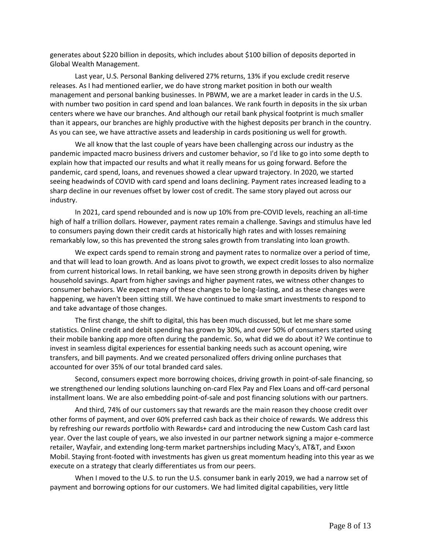generates about \$220 billion in deposits, which includes about \$100 billion of deposits deported in Global Wealth Management.

Last year, U.S. Personal Banking delivered 27% returns, 13% if you exclude credit reserve releases. As I had mentioned earlier, we do have strong market position in both our wealth management and personal banking businesses. In PBWM, we are a market leader in cards in the U.S. with number two position in card spend and loan balances. We rank fourth in deposits in the six urban centers where we have our branches. And although our retail bank physical footprint is much smaller than it appears, our branches are highly productive with the highest deposits per branch in the country. As you can see, we have attractive assets and leadership in cards positioning us well for growth.

We all know that the last couple of years have been challenging across our industry as the pandemic impacted macro business drivers and customer behavior, so I'd like to go into some depth to explain how that impacted our results and what it really means for us going forward. Before the pandemic, card spend, loans, and revenues showed a clear upward trajectory. In 2020, we started seeing headwinds of COVID with card spend and loans declining. Payment rates increased leading to a sharp decline in our revenues offset by lower cost of credit. The same story played out across our industry.

In 2021, card spend rebounded and is now up 10% from pre-COVID levels, reaching an all-time high of half a trillion dollars. However, payment rates remain a challenge. Savings and stimulus have led to consumers paying down their credit cards at historically high rates and with losses remaining remarkably low, so this has prevented the strong sales growth from translating into loan growth.

We expect cards spend to remain strong and payment rates to normalize over a period of time, and that will lead to loan growth. And as loans pivot to growth, we expect credit losses to also normalize from current historical lows. In retail banking, we have seen strong growth in deposits driven by higher household savings. Apart from higher savings and higher payment rates, we witness other changes to consumer behaviors. We expect many of these changes to be long-lasting, and as these changes were happening, we haven't been sitting still. We have continued to make smart investments to respond to and take advantage of those changes.

The first change, the shift to digital, this has been much discussed, but let me share some statistics. Online credit and debit spending has grown by 30%, and over 50% of consumers started using their mobile banking app more often during the pandemic. So, what did we do about it? We continue to invest in seamless digital experiences for essential banking needs such as account opening, wire transfers, and bill payments. And we created personalized offers driving online purchases that accounted for over 35% of our total branded card sales.

Second, consumers expect more borrowing choices, driving growth in point-of-sale financing, so we strengthened our lending solutions launching on-card Flex Pay and Flex Loans and off-card personal installment loans. We are also embedding point-of-sale and post financing solutions with our partners.

And third, 74% of our customers say that rewards are the main reason they choose credit over other forms of payment, and over 60% preferred cash back as their choice of rewards. We address this by refreshing our rewards portfolio with Rewards+ card and introducing the new Custom Cash card last year. Over the last couple of years, we also invested in our partner network signing a major e-commerce retailer, Wayfair, and extending long-term market partnerships including Macy's, AT&T, and Exxon Mobil. Staying front-footed with investments has given us great momentum heading into this year as we execute on a strategy that clearly differentiates us from our peers.

When I moved to the U.S. to run the U.S. consumer bank in early 2019, we had a narrow set of payment and borrowing options for our customers. We had limited digital capabilities, very little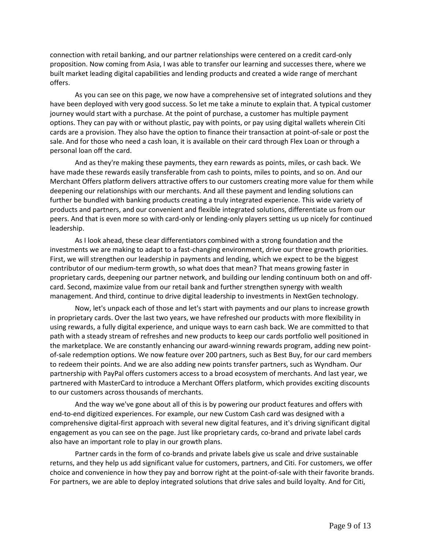connection with retail banking, and our partner relationships were centered on a credit card-only proposition. Now coming from Asia, I was able to transfer our learning and successes there, where we built market leading digital capabilities and lending products and created a wide range of merchant offers.

As you can see on this page, we now have a comprehensive set of integrated solutions and they have been deployed with very good success. So let me take a minute to explain that. A typical customer journey would start with a purchase. At the point of purchase, a customer has multiple payment options. They can pay with or without plastic, pay with points, or pay using digital wallets wherein Citi cards are a provision. They also have the option to finance their transaction at point-of-sale or post the sale. And for those who need a cash loan, it is available on their card through Flex Loan or through a personal loan off the card.

And as they're making these payments, they earn rewards as points, miles, or cash back. We have made these rewards easily transferable from cash to points, miles to points, and so on. And our Merchant Offers platform delivers attractive offers to our customers creating more value for them while deepening our relationships with our merchants. And all these payment and lending solutions can further be bundled with banking products creating a truly integrated experience. This wide variety of products and partners, and our convenient and flexible integrated solutions, differentiate us from our peers. And that is even more so with card-only or lending-only players setting us up nicely for continued leadership.

As I look ahead, these clear differentiators combined with a strong foundation and the investments we are making to adapt to a fast-changing environment, drive our three growth priorities. First, we will strengthen our leadership in payments and lending, which we expect to be the biggest contributor of our medium-term growth, so what does that mean? That means growing faster in proprietary cards, deepening our partner network, and building our lending continuum both on and offcard. Second, maximize value from our retail bank and further strengthen synergy with wealth management. And third, continue to drive digital leadership to investments in NextGen technology.

Now, let's unpack each of those and let's start with payments and our plans to increase growth in proprietary cards. Over the last two years, we have refreshed our products with more flexibility in using rewards, a fully digital experience, and unique ways to earn cash back. We are committed to that path with a steady stream of refreshes and new products to keep our cards portfolio well positioned in the marketplace. We are constantly enhancing our award-winning rewards program, adding new pointof-sale redemption options. We now feature over 200 partners, such as Best Buy, for our card members to redeem their points. And we are also adding new points transfer partners, such as Wyndham. Our partnership with PayPal offers customers access to a broad ecosystem of merchants. And last year, we partnered with MasterCard to introduce a Merchant Offers platform, which provides exciting discounts to our customers across thousands of merchants.

And the way we've gone about all of this is by powering our product features and offers with end-to-end digitized experiences. For example, our new Custom Cash card was designed with a comprehensive digital-first approach with several new digital features, and it's driving significant digital engagement as you can see on the page. Just like proprietary cards, co-brand and private label cards also have an important role to play in our growth plans.

Partner cards in the form of co-brands and private labels give us scale and drive sustainable returns, and they help us add significant value for customers, partners, and Citi. For customers, we offer choice and convenience in how they pay and borrow right at the point-of-sale with their favorite brands. For partners, we are able to deploy integrated solutions that drive sales and build loyalty. And for Citi,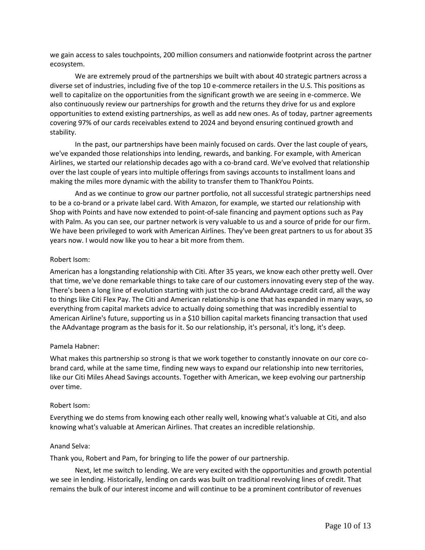we gain access to sales touchpoints, 200 million consumers and nationwide footprint across the partner ecosystem.

We are extremely proud of the partnerships we built with about 40 strategic partners across a diverse set of industries, including five of the top 10 e-commerce retailers in the U.S. This positions as well to capitalize on the opportunities from the significant growth we are seeing in e-commerce. We also continuously review our partnerships for growth and the returns they drive for us and explore opportunities to extend existing partnerships, as well as add new ones. As of today, partner agreements covering 97% of our cards receivables extend to 2024 and beyond ensuring continued growth and stability.

In the past, our partnerships have been mainly focused on cards. Over the last couple of years, we've expanded those relationships into lending, rewards, and banking. For example, with American Airlines, we started our relationship decades ago with a co-brand card. We've evolved that relationship over the last couple of years into multiple offerings from savings accounts to installment loans and making the miles more dynamic with the ability to transfer them to ThankYou Points.

And as we continue to grow our partner portfolio, not all successful strategic partnerships need to be a co-brand or a private label card. With Amazon, for example, we started our relationship with Shop with Points and have now extended to point-of-sale financing and payment options such as Pay with Palm. As you can see, our partner network is very valuable to us and a source of pride for our firm. We have been privileged to work with American Airlines. They've been great partners to us for about 35 years now. I would now like you to hear a bit more from them.

#### Robert Isom:

American has a longstanding relationship with Citi. After 35 years, we know each other pretty well. Over that time, we've done remarkable things to take care of our customers innovating every step of the way. There's been a long line of evolution starting with just the co-brand AAdvantage credit card, all the way to things like Citi Flex Pay. The Citi and American relationship is one that has expanded in many ways, so everything from capital markets advice to actually doing something that was incredibly essential to American Airline's future, supporting us in a \$10 billion capital markets financing transaction that used the AAdvantage program as the basis for it. So our relationship, it's personal, it's long, it's deep.

#### Pamela Habner:

What makes this partnership so strong is that we work together to constantly innovate on our core cobrand card, while at the same time, finding new ways to expand our relationship into new territories, like our Citi Miles Ahead Savings accounts. Together with American, we keep evolving our partnership over time.

#### Robert Isom:

Everything we do stems from knowing each other really well, knowing what's valuable at Citi, and also knowing what's valuable at American Airlines. That creates an incredible relationship.

#### Anand Selva:

Thank you, Robert and Pam, for bringing to life the power of our partnership.

Next, let me switch to lending. We are very excited with the opportunities and growth potential we see in lending. Historically, lending on cards was built on traditional revolving lines of credit. That remains the bulk of our interest income and will continue to be a prominent contributor of revenues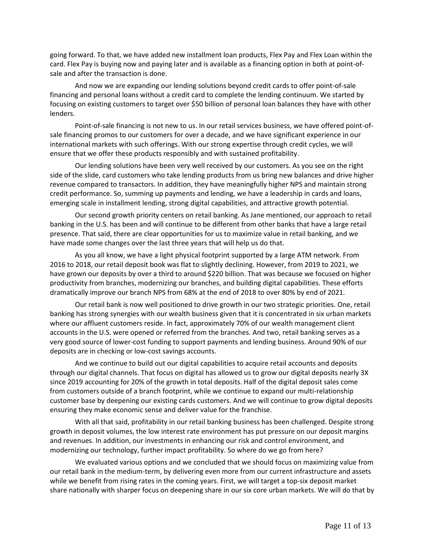going forward. To that, we have added new installment loan products, Flex Pay and Flex Loan within the card. Flex Pay is buying now and paying later and is available as a financing option in both at point-ofsale and after the transaction is done.

And now we are expanding our lending solutions beyond credit cards to offer point-of-sale financing and personal loans without a credit card to complete the lending continuum. We started by focusing on existing customers to target over \$50 billion of personal loan balances they have with other lenders.

Point-of-sale financing is not new to us. In our retail services business, we have offered point-ofsale financing promos to our customers for over a decade, and we have significant experience in our international markets with such offerings. With our strong expertise through credit cycles, we will ensure that we offer these products responsibly and with sustained profitability.

Our lending solutions have been very well received by our customers. As you see on the right side of the slide, card customers who take lending products from us bring new balances and drive higher revenue compared to transactors. In addition, they have meaningfully higher NPS and maintain strong credit performance. So, summing up payments and lending, we have a leadership in cards and loans, emerging scale in installment lending, strong digital capabilities, and attractive growth potential.

Our second growth priority centers on retail banking. As Jane mentioned, our approach to retail banking in the U.S. has been and will continue to be different from other banks that have a large retail presence. That said, there are clear opportunities for us to maximize value in retail banking, and we have made some changes over the last three years that will help us do that.

As you all know, we have a light physical footprint supported by a large ATM network. From 2016 to 2018, our retail deposit book was flat to slightly declining. However, from 2019 to 2021, we have grown our deposits by over a third to around \$220 billion. That was because we focused on higher productivity from branches, modernizing our branches, and building digital capabilities. These efforts dramatically improve our branch NPS from 68% at the end of 2018 to over 80% by end of 2021.

Our retail bank is now well positioned to drive growth in our two strategic priorities. One, retail banking has strong synergies with our wealth business given that it is concentrated in six urban markets where our affluent customers reside. In fact, approximately 70% of our wealth management client accounts in the U.S. were opened or referred from the branches. And two, retail banking serves as a very good source of lower-cost funding to support payments and lending business. Around 90% of our deposits are in checking or low-cost savings accounts.

And we continue to build out our digital capabilities to acquire retail accounts and deposits through our digital channels. That focus on digital has allowed us to grow our digital deposits nearly 3X since 2019 accounting for 20% of the growth in total deposits. Half of the digital deposit sales come from customers outside of a branch footprint, while we continue to expand our multi-relationship customer base by deepening our existing cards customers. And we will continue to grow digital deposits ensuring they make economic sense and deliver value for the franchise.

With all that said, profitability in our retail banking business has been challenged. Despite strong growth in deposit volumes, the low interest rate environment has put pressure on our deposit margins and revenues. In addition, our investments in enhancing our risk and control environment, and modernizing our technology, further impact profitability. So where do we go from here?

We evaluated various options and we concluded that we should focus on maximizing value from our retail bank in the medium-term, by delivering even more from our current infrastructure and assets while we benefit from rising rates in the coming years. First, we will target a top-six deposit market share nationally with sharper focus on deepening share in our six core urban markets. We will do that by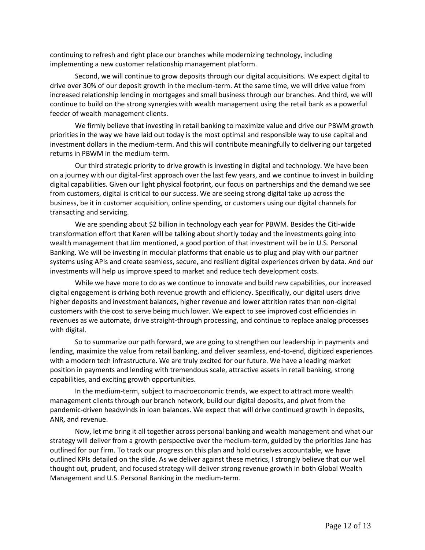continuing to refresh and right place our branches while modernizing technology, including implementing a new customer relationship management platform.

Second, we will continue to grow deposits through our digital acquisitions. We expect digital to drive over 30% of our deposit growth in the medium-term. At the same time, we will drive value from increased relationship lending in mortgages and small business through our branches. And third, we will continue to build on the strong synergies with wealth management using the retail bank as a powerful feeder of wealth management clients.

We firmly believe that investing in retail banking to maximize value and drive our PBWM growth priorities in the way we have laid out today is the most optimal and responsible way to use capital and investment dollars in the medium-term. And this will contribute meaningfully to delivering our targeted returns in PBWM in the medium-term.

Our third strategic priority to drive growth is investing in digital and technology. We have been on a journey with our digital-first approach over the last few years, and we continue to invest in building digital capabilities. Given our light physical footprint, our focus on partnerships and the demand we see from customers, digital is critical to our success. We are seeing strong digital take up across the business, be it in customer acquisition, online spending, or customers using our digital channels for transacting and servicing.

We are spending about \$2 billion in technology each year for PBWM. Besides the Citi-wide transformation effort that Karen will be talking about shortly today and the investments going into wealth management that Jim mentioned, a good portion of that investment will be in U.S. Personal Banking. We will be investing in modular platforms that enable us to plug and play with our partner systems using APIs and create seamless, secure, and resilient digital experiences driven by data. And our investments will help us improve speed to market and reduce tech development costs.

While we have more to do as we continue to innovate and build new capabilities, our increased digital engagement is driving both revenue growth and efficiency. Specifically, our digital users drive higher deposits and investment balances, higher revenue and lower attrition rates than non-digital customers with the cost to serve being much lower. We expect to see improved cost efficiencies in revenues as we automate, drive straight-through processing, and continue to replace analog processes with digital.

So to summarize our path forward, we are going to strengthen our leadership in payments and lending, maximize the value from retail banking, and deliver seamless, end-to-end, digitized experiences with a modern tech infrastructure. We are truly excited for our future. We have a leading market position in payments and lending with tremendous scale, attractive assets in retail banking, strong capabilities, and exciting growth opportunities.

In the medium-term, subject to macroeconomic trends, we expect to attract more wealth management clients through our branch network, build our digital deposits, and pivot from the pandemic-driven headwinds in loan balances. We expect that will drive continued growth in deposits, ANR, and revenue.

Now, let me bring it all together across personal banking and wealth management and what our strategy will deliver from a growth perspective over the medium-term, guided by the priorities Jane has outlined for our firm. To track our progress on this plan and hold ourselves accountable, we have outlined KPIs detailed on the slide. As we deliver against these metrics, I strongly believe that our well thought out, prudent, and focused strategy will deliver strong revenue growth in both Global Wealth Management and U.S. Personal Banking in the medium-term.